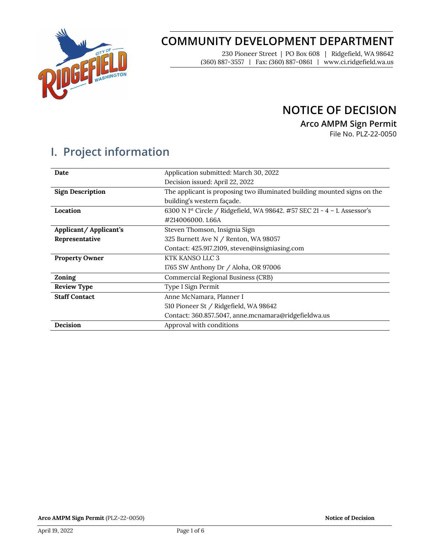

## **COMMUNITY DEVELOPMENT DEPARTMENT**

230 Pioneer Street | PO Box 608 | Ridgefield, WA 98642 (360) 887-3557 | Fax: (360) 887-0861 | www.ci.ridgefield.wa.us

### **NOTICE OF DECISION**

**Arco AMPM Sign Permit**

File No. PLZ-22-0050

# **I. Project information**

| Date                    | Application submitted: March 30, 2022                                                |  |  |
|-------------------------|--------------------------------------------------------------------------------------|--|--|
|                         | Decision issued: April 22, 2022                                                      |  |  |
| <b>Sign Description</b> | The applicant is proposing two illuminated building mounted signs on the             |  |  |
|                         | building's western façade.                                                           |  |  |
| Location                | 6300 N 1 <sup>st</sup> Circle / Ridgefield, WA 98642. #57 SEC 21 - 4 - 1. Assessor's |  |  |
|                         | #214006000.1.66A                                                                     |  |  |
| Applicant/Applicant's   | Steven Thomson, Insignia Sign                                                        |  |  |
| Representative          | 325 Burnett Ave N / Renton, WA 98057                                                 |  |  |
|                         | Contact: 425.917.2109, steven@insigniasing.com                                       |  |  |
| <b>Property Owner</b>   | KTK KANSO LLC 3                                                                      |  |  |
|                         | 1765 SW Anthony Dr / Aloha, OR 97006                                                 |  |  |
| Zoning                  | Commercial Regional Business (CRB)                                                   |  |  |
| <b>Review Type</b>      | Type I Sign Permit                                                                   |  |  |
| <b>Staff Contact</b>    | Anne McNamara, Planner I                                                             |  |  |
|                         | 510 Pioneer St / Ridgefield, WA 98642                                                |  |  |
|                         | Contact: 360.857.5047, anne.mcnamara@ridgefieldwa.us                                 |  |  |
| Decision                | Approval with conditions                                                             |  |  |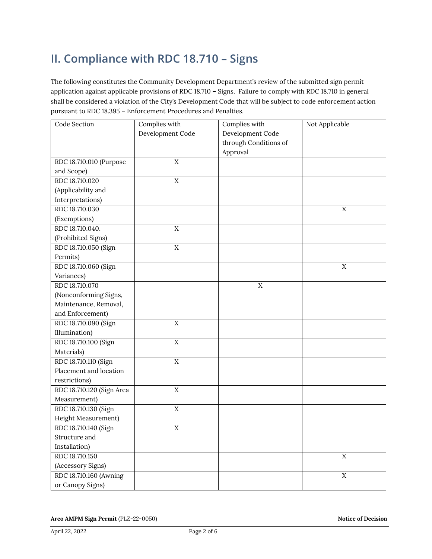# **II. Compliance with RDC 18.710 – Signs**

The following constitutes the Community Development Department's review of the submitted sign permit application against applicable provisions of RDC 18.710 – Signs. Failure to comply with RDC 18.710 in general shall be considered a violation of the City's Development Code that will be subject to code enforcement action pursuant to RDC 18.395 – Enforcement Procedures and Penalties.

| Code Section              | Complies with    | Complies with         | Not Applicable |
|---------------------------|------------------|-----------------------|----------------|
|                           | Development Code | Development Code      |                |
|                           |                  | through Conditions of |                |
|                           |                  | Approval              |                |
| RDC 18.710.010 (Purpose   | $\mathbf X$      |                       |                |
| and Scope)                |                  |                       |                |
| RDC 18.710.020            | $\overline{X}$   |                       |                |
| (Applicability and        |                  |                       |                |
| Interpretations)          |                  |                       |                |
| RDC 18.710.030            |                  |                       | $\mathbf X$    |
| (Exemptions)              |                  |                       |                |
| RDC 18.710.040.           | $\mathbf X$      |                       |                |
| (Prohibited Signs)        |                  |                       |                |
| RDC 18.710.050 (Sign      | $\rm X$          |                       |                |
| Permits)                  |                  |                       |                |
| RDC 18.710.060 (Sign      |                  |                       | $\mathbf X$    |
| Variances)                |                  |                       |                |
| RDC 18.710.070            |                  | $\mathbf X$           |                |
| (Nonconforming Signs,     |                  |                       |                |
| Maintenance, Removal,     |                  |                       |                |
| and Enforcement)          |                  |                       |                |
| RDC 18.710.090 (Sign      | $\mathbf X$      |                       |                |
| Illumination)             |                  |                       |                |
| RDC 18.710.100 (Sign      | $\overline{X}$   |                       |                |
| Materials)                |                  |                       |                |
| RDC 18.710.110 (Sign      | $\overline{X}$   |                       |                |
| Placement and location    |                  |                       |                |
| restrictions)             |                  |                       |                |
| RDC 18.710.120 (Sign Area | $\rm X$          |                       |                |
| Measurement)              |                  |                       |                |
| RDC 18.710.130 (Sign      | $\mathbf X$      |                       |                |
| Height Measurement)       |                  |                       |                |
| RDC 18.710.140 (Sign      | $\mathbf X$      |                       |                |
| Structure and             |                  |                       |                |
| Installation)             |                  |                       |                |
| RDC 18.710.150            |                  |                       | $\mathbf X$    |
| (Accessory Signs)         |                  |                       |                |
| RDC 18.710.160 (Awning    |                  |                       | $\overline{X}$ |
| or Canopy Signs)          |                  |                       |                |

**Arco AMPM Sign Permit** (PLZ-22-0050) **Notice of Decision**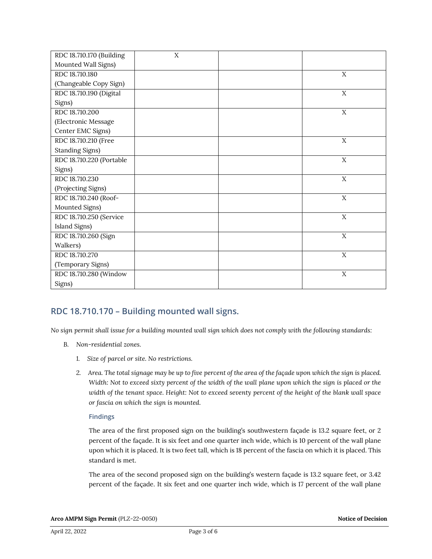| RDC 18.710.170 (Building | X |             |
|--------------------------|---|-------------|
| Mounted Wall Signs)      |   |             |
| RDC 18.710.180           |   | X           |
| (Changeable Copy Sign)   |   |             |
| RDC 18.710.190 (Digital  |   | X           |
| Signs)                   |   |             |
| RDC 18.710.200           |   | X           |
| (Electronic Message      |   |             |
| Center EMC Signs)        |   |             |
| RDC 18.710.210 (Free     |   | $\mathbf X$ |
| <b>Standing Signs)</b>   |   |             |
| RDC 18.710.220 (Portable |   | $\mathbf X$ |
| Signs)                   |   |             |
| RDC 18.710.230           |   | X           |
| (Projecting Signs)       |   |             |
| RDC 18.710.240 (Roof-    |   | X           |
| Mounted Signs)           |   |             |
| RDC 18.710.250 (Service  |   | X           |
| Island Signs)            |   |             |
| RDC 18.710.260 (Sign     |   | X           |
| Walkers)                 |   |             |
| RDC 18.710.270           |   | X           |
| (Temporary Signs)        |   |             |
| RDC 18.710.280 (Window   |   | X           |
| Signs)                   |   |             |

### **RDC 18.710.170 – Building mounted wall signs.**

*No sign permit shall issue for a building mounted wall sign which does not comply with the following standards:* 

- *B. Non-residential zones.* 
	- *1. Size of parcel or site. No restrictions.*
	- *2. Area. The total signage may be up to five percent of the area of the façade upon which the sign is placed. Width: Not to exceed sixty percent of the width of the wall plane upon which the sign is placed or the width of the tenant space. Height: Not to exceed seventy percent of the height of the blank wall space or fascia on which the sign is mounted.*

#### **Findings**

The area of the first proposed sign on the building's southwestern façade is 13.2 square feet, or 2 percent of the façade. It is six feet and one quarter inch wide, which is 10 percent of the wall plane upon which it is placed. It is two feet tall, which is 18 percent of the fascia on which it is placed. This standard is met.

The area of the second proposed sign on the building's western façade is 13.2 square feet, or 3.42 percent of the façade. It six feet and one quarter inch wide, which is 17 percent of the wall plane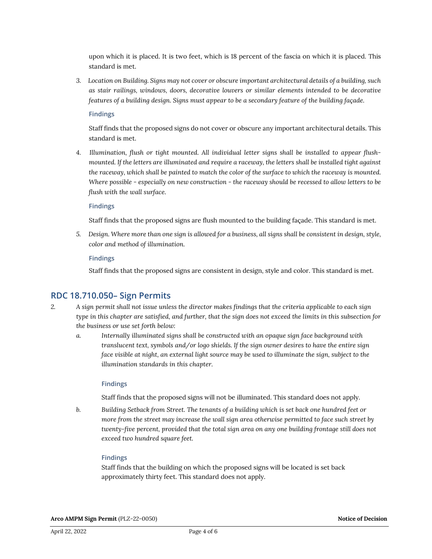upon which it is placed. It is two feet, which is 18 percent of the fascia on which it is placed. This standard is met.

*3. Location on Building. Signs may not cover or obscure important architectural details of a building, such as stair railings, windows, doors, decorative louvers or similar elements intended to be decorative features of a building design. Signs must appear to be a secondary feature of the building façade.*

**Findings**

Staff finds that the proposed signs do not cover or obscure any important architectural details. This standard is met.

*4. Illumination, flush or tight mounted. All individual letter signs shall be installed to appear flushmounted. If the letters are illuminated and require a raceway, the letters shall be installed tight against the raceway, which shall be painted to match the color of the surface to which the raceway is mounted. Where possible - especially on new construction - the raceway should be recessed to allow letters to be flush with the wall surface.*

#### **Findings**

Staff finds that the proposed signs are flush mounted to the building façade. This standard is met.

*5. Design. Where more than one sign is allowed for a business, all signs shall be consistent in design, style, color and method of illumination.*

#### **Findings**

Staff finds that the proposed signs are consistent in design, style and color. This standard is met.

### **RDC 18.710.050– Sign Permits**

- *2. A sign permit shall not issue unless the director makes findings that the criteria applicable to each sign type in this chapter are satisfied, and further, that the sign does not exceed the limits in this subsection for the business or use set forth below:*
	- *a. Internally illuminated signs shall be constructed with an opaque sign face background with translucent text, symbols and/or logo shields. If the sign owner desires to have the entire sign face visible at night, an external light source may be used to illuminate the sign, subject to the illumination standards in this chapter.*

#### **Findings**

Staff finds that the proposed signs will not be illuminated. This standard does not apply.

*b. Building Setback from Street. The tenants of a building which is set back one hundred feet or more from the street may increase the wall sign area otherwise permitted to face such street by twenty-five percent, provided that the total sign area on any one building frontage still does not exceed two hundred square feet.*

#### **Findings**

Staff finds that the building on which the proposed signs will be located is set back approximately thirty feet. This standard does not apply.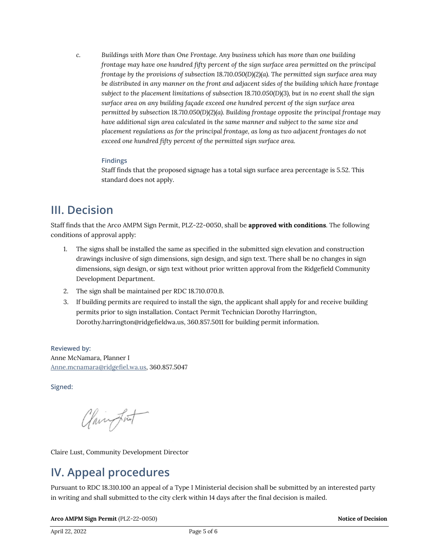*c. Buildings with More than One Frontage. Any business which has more than one building frontage may have one hundred fifty percent of the sign surface area permitted on the principal frontage by the provisions of subsection 18.710.050(D)(2)(a). The permitted sign surface area may be distributed in any manner on the front and adjacent sides of the building which have frontage subject to the placement limitations of subsection 18.710.050(D)(3), but in no event shall the sign surface area on any building façade exceed one hundred percent of the sign surface area permitted by subsection 18.710.050(D)(2)(a). Building frontage opposite the principal frontage may have additional sign area calculated in the same manner and subject to the same size and placement regulations as for the principal frontage, as long as two adjacent frontages do not exceed one hundred fifty percent of the permitted sign surface area.*

#### **Findings**

Staff finds that the proposed signage has a total sign surface area percentage is 5.52. This standard does not apply.

### **III. Decision**

Staff finds that the Arco AMPM Sign Permit, PLZ-22-0050, shall be **approved with conditions**. The following conditions of approval apply:

- 1. The signs shall be installed the same as specified in the submitted sign elevation and construction drawings inclusive of sign dimensions, sign design, and sign text. There shall be no changes in sign dimensions, sign design, or sign text without prior written approval from the Ridgefield Community Development Department.
- 2. The sign shall be maintained per RDC 18.710.070.B.
- 3. If building permits are required to install the sign, the applicant shall apply for and receive building permits prior to sign installation. Contact Permit Technician Dorothy Harrington, Dorothy.harrington@ridgefieldwa.us, 360.857.5011 for building permit information.

**Reviewed by:** Anne McNamara, Planner I [Anne.mcnamara@ridgefiel.wa.us,](mailto:Anne.mcnamara@ridgefiel.wa.us) 360.857.5047

**Signed:** 

Clairmont

Claire Lust, Community Development Director

## **IV. Appeal procedures**

Pursuant to RDC 18.310.100 an appeal of a Type I Ministerial decision shall be submitted by an interested party in writing and shall submitted to the city clerk within 14 days after the final decision is mailed.

**Arco AMPM Sign Permit** (PLZ-22-0050) **Notice of Decision**